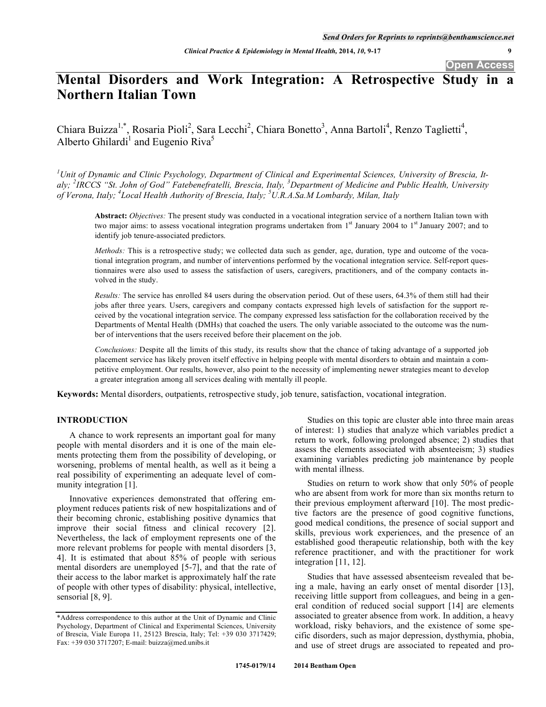# **Mental Disorders and Work Integration: A Retrospective Study in a Northern Italian Town**

Chiara Buizza<sup>1,\*</sup>, Rosaria Pioli<sup>2</sup>, Sara Lecchi<sup>2</sup>, Chiara Bonetto<sup>3</sup>, Anna Bartoli<sup>4</sup>, Renzo Taglietti<sup>4</sup>, Alberto Ghilardi<sup>1</sup> and Eugenio Riva<sup>5</sup>

*1 Unit of Dynamic and Clinic Psychology, Department of Clinical and Experimental Sciences, University of Brescia, Italy; <sup>2</sup> IRCCS "St. John of God" Fatebenefratelli, Brescia, Italy, <sup>3</sup> Department of Medicine and Public Health, University of Verona, Italy; 4 Local Health Authority of Brescia, Italy; 5 U.R.A.Sa.M Lombardy, Milan, Italy* 

**Abstract:** *Objectives:* The present study was conducted in a vocational integration service of a northern Italian town with two major aims: to assess vocational integration programs undertaken from  $1<sup>st</sup>$  January 2004 to  $1<sup>st</sup>$  January 2007; and to identify job tenure-associated predictors.

*Methods:* This is a retrospective study; we collected data such as gender, age, duration, type and outcome of the vocational integration program, and number of interventions performed by the vocational integration service. Self-report questionnaires were also used to assess the satisfaction of users, caregivers, practitioners, and of the company contacts involved in the study.

*Results:* The service has enrolled 84 users during the observation period. Out of these users, 64.3% of them still had their jobs after three years. Users, caregivers and company contacts expressed high levels of satisfaction for the support received by the vocational integration service. The company expressed less satisfaction for the collaboration received by the Departments of Mental Health (DMHs) that coached the users. The only variable associated to the outcome was the number of interventions that the users received before their placement on the job.

*Conclusions:* Despite all the limits of this study, its results show that the chance of taking advantage of a supported job placement service has likely proven itself effective in helping people with mental disorders to obtain and maintain a competitive employment. Our results, however, also point to the necessity of implementing newer strategies meant to develop a greater integration among all services dealing with mentally ill people.

**Keywords:** Mental disorders, outpatients, retrospective study, job tenure, satisfaction, vocational integration.

#### **INTRODUCTION**

A chance to work represents an important goal for many people with mental disorders and it is one of the main elements protecting them from the possibility of developing, or worsening, problems of mental health, as well as it being a real possibility of experimenting an adequate level of community integration [1].

Innovative experiences demonstrated that offering employment reduces patients risk of new hospitalizations and of their becoming chronic, establishing positive dynamics that improve their social fitness and clinical recovery [2]. Nevertheless, the lack of employment represents one of the more relevant problems for people with mental disorders [3, 4]. It is estimated that about 85% of people with serious mental disorders are unemployed [5-7], and that the rate of their access to the labor market is approximately half the rate of people with other types of disability: physical, intellective, sensorial [8, 9].

Studies on this topic are cluster able into three main areas of interest: 1) studies that analyze which variables predict a return to work, following prolonged absence; 2) studies that assess the elements associated with absenteeism; 3) studies examining variables predicting job maintenance by people with mental illness.

Studies on return to work show that only 50% of people who are absent from work for more than six months return to their previous employment afterward [10]. The most predictive factors are the presence of good cognitive functions, good medical conditions, the presence of social support and skills, previous work experiences, and the presence of an established good therapeutic relationship, both with the key reference practitioner, and with the practitioner for work integration [11, 12].

Studies that have assessed absenteeism revealed that being a male, having an early onset of mental disorder [13], receiving little support from colleagues, and being in a general condition of reduced social support [14] are elements associated to greater absence from work. In addition, a heavy workload, risky behaviors, and the existence of some specific disorders, such as major depression, dysthymia, phobia, and use of street drugs are associated to repeated and pro-

<sup>\*</sup>Address correspondence to this author at the Unit of Dynamic and Clinic Psychology, Department of Clinical and Experimental Sciences, University of Brescia, Viale Europa 11, 25123 Brescia, Italy; Tel: +39 030 3717429; Fax: +39 030 3717207; E-mail: buizza@med.unibs.it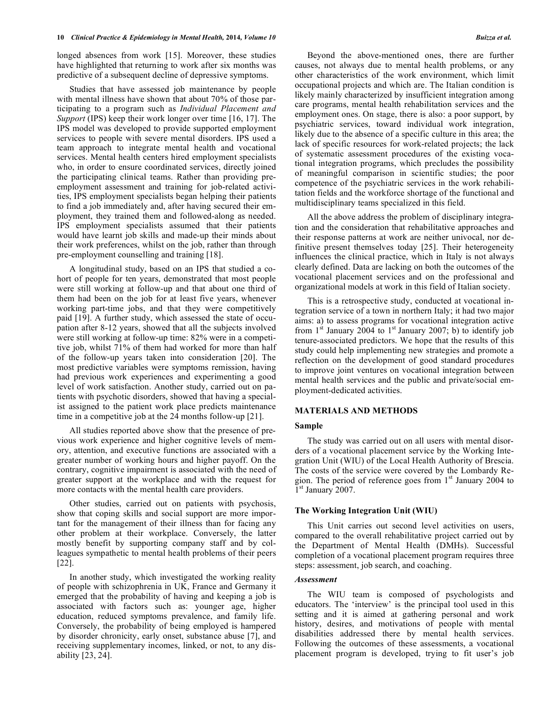#### **10** *Clinical Practice & Epidemiology in Mental Health, 2014, Volume 10 Buizza et al.* **<b>***Buizza et al. Buizza et al.*

longed absences from work [15]. Moreover, these studies have highlighted that returning to work after six months was predictive of a subsequent decline of depressive symptoms.

Studies that have assessed job maintenance by people with mental illness have shown that about 70% of those participating to a program such as *Individual Placement and Support* (IPS) keep their work longer over time [16, 17]. The IPS model was developed to provide supported employment services to people with severe mental disorders. IPS used a team approach to integrate mental health and vocational services. Mental health centers hired employment specialists who, in order to ensure coordinated services, directly joined the participating clinical teams. Rather than providing preemployment assessment and training for job-related activities, IPS employment specialists began helping their patients to find a job immediately and, after having secured their employment, they trained them and followed-along as needed. IPS employment specialists assumed that their patients would have learnt job skills and made-up their minds about their work preferences, whilst on the job, rather than through pre-employment counselling and training [18].

A longitudinal study, based on an IPS that studied a cohort of people for ten years, demonstrated that most people were still working at follow-up and that about one third of them had been on the job for at least five years, whenever working part-time jobs, and that they were competitively paid [19]. A further study, which assessed the state of occupation after 8-12 years, showed that all the subjects involved were still working at follow-up time: 82% were in a competitive job, whilst 71% of them had worked for more than half of the follow-up years taken into consideration [20]. The most predictive variables were symptoms remission, having had previous work experiences and experimenting a good level of work satisfaction. Another study, carried out on patients with psychotic disorders, showed that having a specialist assigned to the patient work place predicts maintenance time in a competitive job at the 24 months follow-up [21].

All studies reported above show that the presence of previous work experience and higher cognitive levels of memory, attention, and executive functions are associated with a greater number of working hours and higher payoff. On the contrary, cognitive impairment is associated with the need of greater support at the workplace and with the request for more contacts with the mental health care providers.

Other studies, carried out on patients with psychosis, show that coping skills and social support are more important for the management of their illness than for facing any other problem at their workplace. Conversely, the latter mostly benefit by supporting company staff and by colleagues sympathetic to mental health problems of their peers [22].

In another study, which investigated the working reality of people with schizophrenia in UK, France and Germany it emerged that the probability of having and keeping a job is associated with factors such as: younger age, higher education, reduced symptoms prevalence, and family life. Conversely, the probability of being employed is hampered by disorder chronicity, early onset, substance abuse [7], and receiving supplementary incomes, linked, or not, to any disability [23, 24].

Beyond the above-mentioned ones, there are further causes, not always due to mental health problems, or any other characteristics of the work environment, which limit occupational projects and which are. The Italian condition is likely mainly characterized by insufficient integration among care programs, mental health rehabilitation services and the employment ones. On stage, there is also: a poor support, by psychiatric services, toward individual work integration, likely due to the absence of a specific culture in this area; the lack of specific resources for work-related projects; the lack of systematic assessment procedures of the existing vocational integration programs, which precludes the possibility of meaningful comparison in scientific studies; the poor competence of the psychiatric services in the work rehabilitation fields and the workforce shortage of the functional and multidisciplinary teams specialized in this field.

All the above address the problem of disciplinary integration and the consideration that rehabilitative approaches and their response patterns at work are neither univocal, nor definitive present themselves today [25]. Their heterogeneity influences the clinical practice, which in Italy is not always clearly defined. Data are lacking on both the outcomes of the vocational placement services and on the professional and organizational models at work in this field of Italian society.

This is a retrospective study, conducted at vocational integration service of a town in northern Italy; it had two major aims: a) to assess programs for vocational integration active from  $1<sup>st</sup>$  January 2004 to  $1<sup>st</sup>$  January 2007; b) to identify job tenure-associated predictors. We hope that the results of this study could help implementing new strategies and promote a reflection on the development of good standard procedures to improve joint ventures on vocational integration between mental health services and the public and private/social employment-dedicated activities.

#### **MATERIALS AND METHODS**

#### **Sample**

The study was carried out on all users with mental disorders of a vocational placement service by the Working Integration Unit (WIU) of the Local Health Authority of Brescia. The costs of the service were covered by the Lombardy Region. The period of reference goes from  $1<sup>st</sup>$  January 2004 to  $1<sup>st</sup>$  January 2007.

#### **The Working Integration Unit (WIU)**

This Unit carries out second level activities on users, compared to the overall rehabilitative project carried out by the Department of Mental Health (DMHs). Successful completion of a vocational placement program requires three steps: assessment, job search, and coaching.

#### *Assessment*

The WIU team is composed of psychologists and educators. The 'interview' is the principal tool used in this setting and it is aimed at gathering personal and work history, desires, and motivations of people with mental disabilities addressed there by mental health services. Following the outcomes of these assessments, a vocational placement program is developed, trying to fit user's job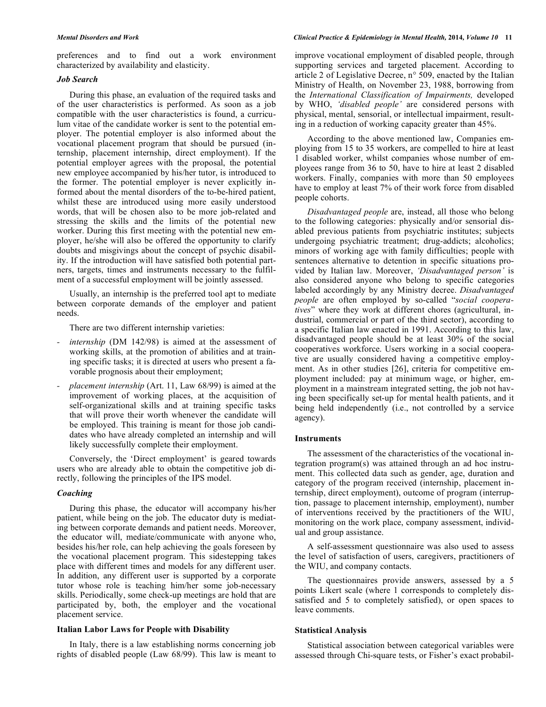preferences and to find out a work environment characterized by availability and elasticity.

#### *Job Search*

During this phase, an evaluation of the required tasks and of the user characteristics is performed. As soon as a job compatible with the user characteristics is found, a curriculum vitae of the candidate worker is sent to the potential employer. The potential employer is also informed about the vocational placement program that should be pursued (internship, placement internship, direct employment). If the potential employer agrees with the proposal, the potential new employee accompanied by his/her tutor, is introduced to the former. The potential employer is never explicitly informed about the mental disorders of the to-be-hired patient, whilst these are introduced using more easily understood words, that will be chosen also to be more job-related and stressing the skills and the limits of the potential new worker. During this first meeting with the potential new employer, he/she will also be offered the opportunity to clarify doubts and misgivings about the concept of psychic disability. If the introduction will have satisfied both potential partners, targets, times and instruments necessary to the fulfilment of a successful employment will be jointly assessed.

Usually, an internship is the preferred tool apt to mediate between corporate demands of the employer and patient needs.

There are two different internship varieties:

- *internship* (DM 142/98) is aimed at the assessment of working skills, at the promotion of abilities and at training specific tasks; it is directed at users who present a favorable prognosis about their employment;
- *placement internship* (Art. 11, Law 68/99) is aimed at the improvement of working places, at the acquisition of self-organizational skills and at training specific tasks that will prove their worth whenever the candidate will be employed. This training is meant for those job candidates who have already completed an internship and will likely successfully complete their employment.

Conversely, the 'Direct employment' is geared towards users who are already able to obtain the competitive job directly, following the principles of the IPS model.

#### *Coaching*

During this phase, the educator will accompany his/her patient, while being on the job. The educator duty is mediating between corporate demands and patient needs. Moreover, the educator will, mediate/communicate with anyone who, besides his/her role, can help achieving the goals foreseen by the vocational placement program. This sidestepping takes place with different times and models for any different user. In addition, any different user is supported by a corporate tutor whose role is teaching him/her some job-necessary skills. Periodically, some check-up meetings are hold that are participated by, both, the employer and the vocational placement service.

#### **Italian Labor Laws for People with Disability**

In Italy, there is a law establishing norms concerning job rights of disabled people (Law 68/99). This law is meant to improve vocational employment of disabled people, through supporting services and targeted placement. According to article 2 of Legislative Decree, n° 509, enacted by the Italian Ministry of Health, on November 23, 1988, borrowing from the *International Classification of Impairments,* developed by WHO, *'disabled people'* are considered persons with physical, mental, sensorial, or intellectual impairment, resulting in a reduction of working capacity greater than 45%.

According to the above mentioned law, Companies employing from 15 to 35 workers, are compelled to hire at least 1 disabled worker, whilst companies whose number of employees range from 36 to 50, have to hire at least 2 disabled workers. Finally, companies with more than 50 employees have to employ at least 7% of their work force from disabled people cohorts.

*Disadvantaged people* are, instead, all those who belong to the following categories: physically and/or sensorial disabled previous patients from psychiatric institutes; subjects undergoing psychiatric treatment; drug-addicts; alcoholics; minors of working age with family difficulties; people with sentences alternative to detention in specific situations provided by Italian law. Moreover, *'Disadvantaged person'* is also considered anyone who belong to specific categories labeled accordingly by any Ministry decree. *Disadvantaged people* are often employed by so-called "*social cooperatives*" where they work at different chores (agricultural, industrial, commercial or part of the third sector), according to a specific Italian law enacted in 1991. According to this law, disadvantaged people should be at least 30% of the social cooperatives workforce. Users working in a social cooperative are usually considered having a competitive employment. As in other studies [26], criteria for competitive employment included: pay at minimum wage, or higher, employment in a mainstream integrated setting, the job not having been specifically set-up for mental health patients, and it being held independently (i.e., not controlled by a service agency).

#### **Instruments**

The assessment of the characteristics of the vocational integration program(s) was attained through an ad hoc instrument. This collected data such as gender, age, duration and category of the program received (internship, placement internship, direct employment), outcome of program (interruption, passage to placement internship, employment), number of interventions received by the practitioners of the WIU, monitoring on the work place, company assessment, individual and group assistance.

A self-assessment questionnaire was also used to assess the level of satisfaction of users, caregivers, practitioners of the WIU, and company contacts.

The questionnaires provide answers, assessed by a 5 points Likert scale (where 1 corresponds to completely dissatisfied and 5 to completely satisfied), or open spaces to leave comments.

#### **Statistical Analysis**

Statistical association between categorical variables were assessed through Chi-square tests, or Fisher's exact probabil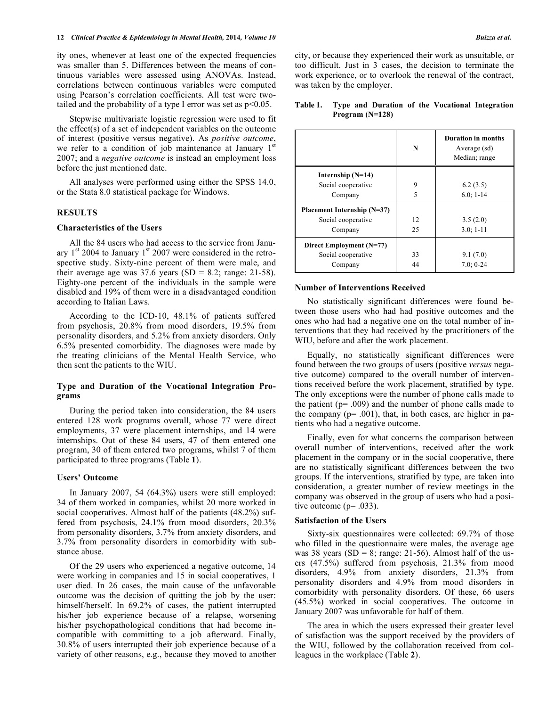ity ones, whenever at least one of the expected frequencies was smaller than 5. Differences between the means of continuous variables were assessed using ANOVAs. Instead, correlations between continuous variables were computed using Pearson's correlation coefficients. All test were twotailed and the probability of a type I error was set as p<0.05.

Stepwise multivariate logistic regression were used to fit the effect(s) of a set of independent variables on the outcome of interest (positive versus negative). As *positive outcome*, we refer to a condition of job maintenance at January  $1<sup>st</sup>$ 2007; and a *negative outcome* is instead an employment loss before the just mentioned date.

All analyses were performed using either the SPSS 14.0, or the Stata 8.0 statistical package for Windows.

#### **RESULTS**

#### **Characteristics of the Users**

All the 84 users who had access to the service from January  $1<sup>st</sup>$  2004 to January  $1<sup>st</sup>$  2007 were considered in the retrospective study. Sixty-nine percent of them were male, and their average age was  $37.6$  years (SD = 8.2; range: 21-58). Eighty-one percent of the individuals in the sample were disabled and 19% of them were in a disadvantaged condition according to Italian Laws.

According to the ICD-10, 48.1% of patients suffered from psychosis, 20.8% from mood disorders, 19.5% from personality disorders, and 5.2% from anxiety disorders. Only 6.5% presented comorbidity. The diagnoses were made by the treating clinicians of the Mental Health Service, who then sent the patients to the WIU.

#### **Type and Duration of the Vocational Integration Programs**

During the period taken into consideration, the 84 users entered 128 work programs overall, whose 77 were direct employments, 37 were placement internships, and 14 were internships. Out of these 84 users, 47 of them entered one program, 30 of them entered two programs, whilst 7 of them participated to three programs (Table **1**).

#### **Users' Outcome**

In January 2007, 54 (64.3%) users were still employed: 34 of them worked in companies, whilst 20 more worked in social cooperatives. Almost half of the patients (48.2%) suffered from psychosis, 24.1% from mood disorders, 20.3% from personality disorders, 3.7% from anxiety disorders, and 3.7% from personality disorders in comorbidity with substance abuse.

Of the 29 users who experienced a negative outcome, 14 were working in companies and 15 in social cooperatives, 1 user died. In 26 cases, the main cause of the unfavorable outcome was the decision of quitting the job by the user: himself/herself. In 69.2% of cases, the patient interrupted his/her job experience because of a relapse, worsening his/her psychopathological conditions that had become incompatible with committing to a job afterward. Finally, 30.8% of users interrupted their job experience because of a variety of other reasons, e.g., because they moved to another city, or because they experienced their work as unsuitable, or too difficult. Just in 3 cases, the decision to terminate the work experience, or to overlook the renewal of the contract, was taken by the employer.

|                             | N  | <b>Duration in months</b><br>Average (sd)<br>Median; range |
|-----------------------------|----|------------------------------------------------------------|
| Internship $(N=14)$         |    |                                                            |
| Social cooperative          | 9  | 6.2(3.5)                                                   |
| Company                     | 5  | $6.0; 1-14$                                                |
| Placement Internship (N=37) |    |                                                            |
| Social cooperative          | 12 | 3.5(2.0)                                                   |
| Company                     | 25 | $3.0; 1-11$                                                |
| Direct Employment (N=77)    |    |                                                            |
| Social cooperative          | 33 | 9.1(7.0)                                                   |
| Company                     | 44 | $7.0:0-24$                                                 |

#### **Table 1. Type and Duration of the Vocational Integration Program (N=128)**

#### **Number of Interventions Received**

No statistically significant differences were found between those users who had had positive outcomes and the ones who had had a negative one on the total number of interventions that they had received by the practitioners of the WIU, before and after the work placement.

Equally, no statistically significant differences were found between the two groups of users (positive *versus* negative outcome) compared to the overall number of interventions received before the work placement, stratified by type. The only exceptions were the number of phone calls made to the patient ( $p = .009$ ) and the number of phone calls made to the company  $(p= .001)$ , that, in both cases, are higher in patients who had a negative outcome.

Finally, even for what concerns the comparison between overall number of interventions, received after the work placement in the company or in the social cooperative, there are no statistically significant differences between the two groups. If the interventions, stratified by type, are taken into consideration, a greater number of review meetings in the company was observed in the group of users who had a positive outcome  $(p= .033)$ .

#### **Satisfaction of the Users**

Sixty-six questionnaires were collected: 69.7% of those who filled in the questionnaire were males, the average age was 38 years ( $SD = 8$ ; range: 21-56). Almost half of the users (47.5%) suffered from psychosis, 21.3% from mood disorders, 4.9% from anxiety disorders, 21.3% from personality disorders and 4.9% from mood disorders in comorbidity with personality disorders. Of these, 66 users (45.5%) worked in social cooperatives. The outcome in January 2007 was unfavorable for half of them.

The area in which the users expressed their greater level of satisfaction was the support received by the providers of the WIU, followed by the collaboration received from colleagues in the workplace (Table **2**).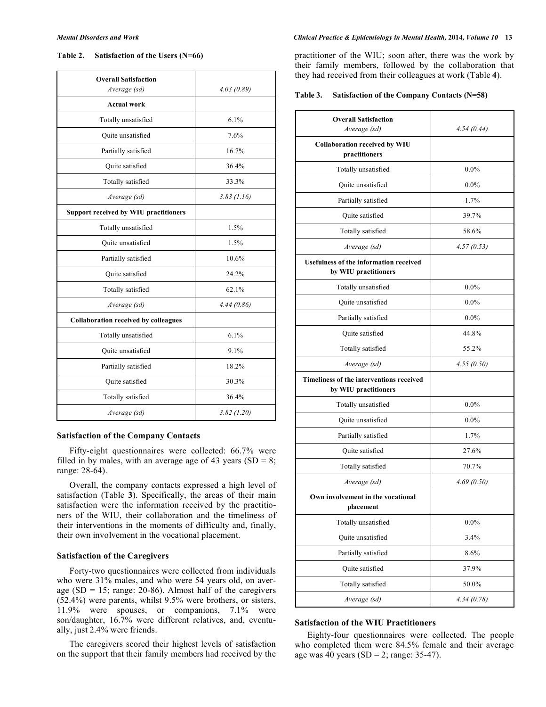#### **Table 2. Satisfaction of the Users (N=66)**

| <b>Overall Satisfaction</b><br>Average (sd)  | 4.03(0.89) |
|----------------------------------------------|------------|
| <b>Actual work</b>                           |            |
| Totally unsatisfied                          | 6.1%       |
| Ouite unsatisfied                            | 7.6%       |
| Partially satisfied                          | 16.7%      |
| Quite satisfied                              | 36.4%      |
| Totally satisfied                            | 33.3%      |
| Average (sd)                                 | 3.83(1.16) |
| <b>Support received by WIU practitioners</b> |            |
| Totally unsatisfied                          | 1.5%       |
| Quite unsatisfied                            | 1.5%       |
| Partially satisfied                          | 10.6%      |
| <b>Ouite</b> satisfied                       | 24.2%      |
| Totally satisfied                            | 62.1%      |
| Average (sd)                                 | 4.44(0.86) |
| <b>Collaboration received by colleagues</b>  |            |
| Totally unsatisfied                          | 6.1%       |
| Quite unsatisfied                            | 9.1%       |
| Partially satisfied                          | 18.2%      |
| Quite satisfied                              | 30.3%      |
| Totally satisfied                            | 36.4%      |
| Average (sd)                                 | 3.82(1.20) |

#### **Satisfaction of the Company Contacts**

Fifty-eight questionnaires were collected: 66.7% were filled in by males, with an average age of 43 years  $(SD = 8)$ ; range: 28-64).

Overall, the company contacts expressed a high level of satisfaction (Table **3**). Specifically, the areas of their main satisfaction were the information received by the practitioners of the WIU, their collaboration and the timeliness of their interventions in the moments of difficulty and, finally, their own involvement in the vocational placement.

#### **Satisfaction of the Caregivers**

Forty-two questionnaires were collected from individuals who were 31% males, and who were 54 years old, on average (SD = 15; range:  $20-86$ ). Almost half of the caregivers (52.4%) were parents, whilst 9.5% were brothers, or sisters, 11.9% were spouses, or companions, 7.1% were son/daughter, 16.7% were different relatives, and, eventually, just 2.4% were friends.

The caregivers scored their highest levels of satisfaction on the support that their family members had received by the

#### *Mental Disorders and Work Clinical Practice & Epidemiology in Mental Health,* **2014***, Volume 10* **13**

practitioner of the WIU; soon after, there was the work by their family members, followed by the collaboration that they had received from their colleagues at work (Table **4**).

| Table 3. | Satisfaction of the Company Contacts (N=58) |  |  |  |  |
|----------|---------------------------------------------|--|--|--|--|
|----------|---------------------------------------------|--|--|--|--|

| <b>Overall Satisfaction</b><br>Average (sd)                           | 4.54(0.44) |  |
|-----------------------------------------------------------------------|------------|--|
| <b>Collaboration received by WIU</b><br>practitioners                 |            |  |
| Totally unsatisfied                                                   | $0.0\%$    |  |
| Quite unsatisfied                                                     | $0.0\%$    |  |
| Partially satisfied                                                   | 1.7%       |  |
| Quite satisfied                                                       | 39.7%      |  |
| Totally satisfied                                                     | 58.6%      |  |
| Average (sd)                                                          | 4.57(0.53) |  |
| <b>Usefulness of the information received</b><br>by WIU practitioners |            |  |
| Totally unsatisfied                                                   | $0.0\%$    |  |
| Quite unsatisfied                                                     | $0.0\%$    |  |
| Partially satisfied                                                   | $0.0\%$    |  |
| Quite satisfied                                                       | 44.8%      |  |
| Totally satisfied                                                     | 55.2%      |  |
| Average (sd)                                                          | 4.55(0.50) |  |
| Timeliness of the interventions received<br>by WIU practitioners      |            |  |
| Totally unsatisfied                                                   | $0.0\%$    |  |
| Quite unsatisfied                                                     | $0.0\%$    |  |
| Partially satisfied                                                   | 1.7%       |  |
| Quite satisfied                                                       | 27.6%      |  |
| Totally satisfied                                                     | 70.7%      |  |
| Average (sd)                                                          | 4.69(0.50) |  |
| Own involvement in the vocational<br>placement                        |            |  |
| Totally unsatisfied                                                   | $0.0\%$    |  |
| Quite unsatisfied                                                     | 3.4%       |  |
| Partially satisfied                                                   | 8.6%       |  |
| Quite satisfied                                                       | 37.9%      |  |
| Totally satisfied                                                     | 50.0%      |  |
| Average (sd)                                                          | 4.34(0.78) |  |

#### **Satisfaction of the WIU Practitioners**

Eighty-four questionnaires were collected. The people who completed them were 84.5% female and their average age was 40 years  $(SD = 2$ ; range: 35-47).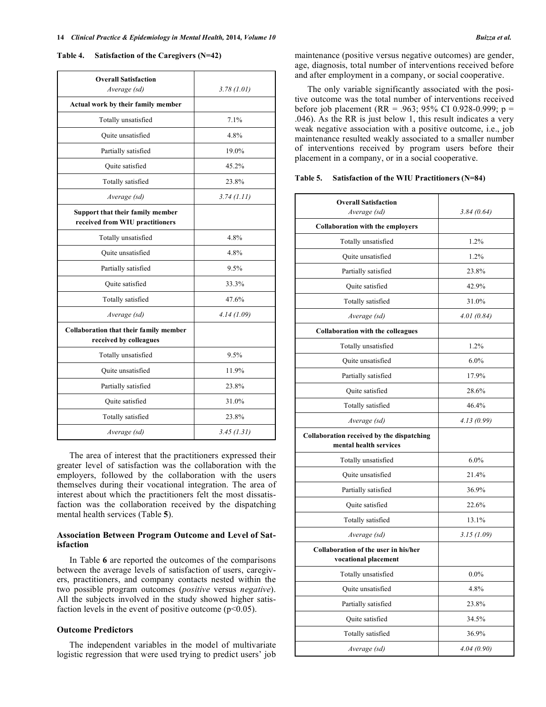#### **Table 4. Satisfaction of the Caregivers (N=42)**

| <b>Overall Satisfaction</b><br>Average (sd)                             | 3.78(1.01) |  |
|-------------------------------------------------------------------------|------------|--|
| Actual work by their family member                                      |            |  |
| Totally unsatisfied                                                     | 7.1%       |  |
| Quite unsatisfied                                                       | 4.8%       |  |
| Partially satisfied                                                     | 19.0%      |  |
| <b>Ouite</b> satisfied                                                  | 45.2%      |  |
| Totally satisfied                                                       | 23.8%      |  |
| Average (sd)                                                            | 3.74(1.11) |  |
| Support that their family member<br>received from WIU practitioners     |            |  |
| Totally unsatisfied                                                     | 4.8%       |  |
| Quite unsatisfied                                                       | 4.8%       |  |
| Partially satisfied                                                     | 9.5%       |  |
| Quite satisfied                                                         | 33.3%      |  |
| Totally satisfied                                                       | 47.6%      |  |
| Average (sd)                                                            | 4.14(1.09) |  |
| <b>Collaboration that their family member</b><br>received by colleagues |            |  |
| Totally unsatisfied                                                     | 9.5%       |  |
| Quite unsatisfied                                                       | 11.9%      |  |
| Partially satisfied                                                     | 23.8%      |  |
| Quite satisfied                                                         | 31.0%      |  |
| Totally satisfied                                                       | 23.8%      |  |
| Average (sd)                                                            | 3.45(1.31) |  |

The area of interest that the practitioners expressed their greater level of satisfaction was the collaboration with the employers, followed by the collaboration with the users themselves during their vocational integration. The area of interest about which the practitioners felt the most dissatisfaction was the collaboration received by the dispatching mental health services (Table **5**).

### **Association Between Program Outcome and Level of Satisfaction**

In Table **6** are reported the outcomes of the comparisons between the average levels of satisfaction of users, caregivers, practitioners, and company contacts nested within the two possible program outcomes (*positive* versus *negative*). All the subjects involved in the study showed higher satisfaction levels in the event of positive outcome  $(p<0.05)$ .

#### **Outcome Predictors**

The independent variables in the model of multivariate logistic regression that were used trying to predict users' job maintenance (positive versus negative outcomes) are gender, age, diagnosis, total number of interventions received before and after employment in a company, or social cooperative.

The only variable significantly associated with the positive outcome was the total number of interventions received before job placement (RR = .963; 95% CI 0.928-0.999; p = .046). As the RR is just below 1, this result indicates a very weak negative association with a positive outcome, i.e., job maintenance resulted weakly associated to a smaller number of interventions received by program users before their placement in a company, or in a social cooperative.

| Table 5. |  | Satisfaction of the WIU Practitioners (N=84) |  |
|----------|--|----------------------------------------------|--|
|          |  |                                              |  |

| <b>Overall Satisfaction</b><br>Average (sd)                         | 3.84(0.64)  |  |
|---------------------------------------------------------------------|-------------|--|
| <b>Collaboration with the employers</b>                             |             |  |
| Totally unsatisfied                                                 | 1.2%        |  |
| Quite unsatisfied                                                   | 1.2%        |  |
| Partially satisfied                                                 | 23.8%       |  |
| <b>Ouite</b> satisfied                                              | 42.9%       |  |
| Totally satisfied                                                   | 31.0%       |  |
| Average (sd)                                                        | 4.01(0.84)  |  |
| <b>Collaboration with the colleagues</b>                            |             |  |
| Totally unsatisfied                                                 | 1.2%        |  |
| Quite unsatisfied                                                   | $6.0\%$     |  |
| Partially satisfied                                                 | 17.9%       |  |
| Quite satisfied                                                     | 28.6%       |  |
| Totally satisfied                                                   | 46.4%       |  |
| Average (sd)                                                        | 4.13 (0.99) |  |
| Collaboration received by the dispatching<br>mental health services |             |  |
| Totally unsatisfied                                                 | 6.0%        |  |
| <b>Ouite</b> unsatisfied                                            | 21.4%       |  |
| Partially satisfied                                                 | 36.9%       |  |
| Quite satisfied                                                     | 22.6%       |  |
| Totally satisfied                                                   | 13.1%       |  |
| Average (sd)                                                        | 3.15(1.09)  |  |
| Collaboration of the user in his/her<br>vocational placement        |             |  |
| Totally unsatisfied                                                 | $0.0\%$     |  |
| Quite unsatisfied                                                   | 4.8%        |  |
| Partially satisfied                                                 | 23.8%       |  |
| Quite satisfied                                                     | 34.5%       |  |
| Totally satisfied                                                   | 36.9%       |  |
| Average (sd)                                                        | 4.04(0.90)  |  |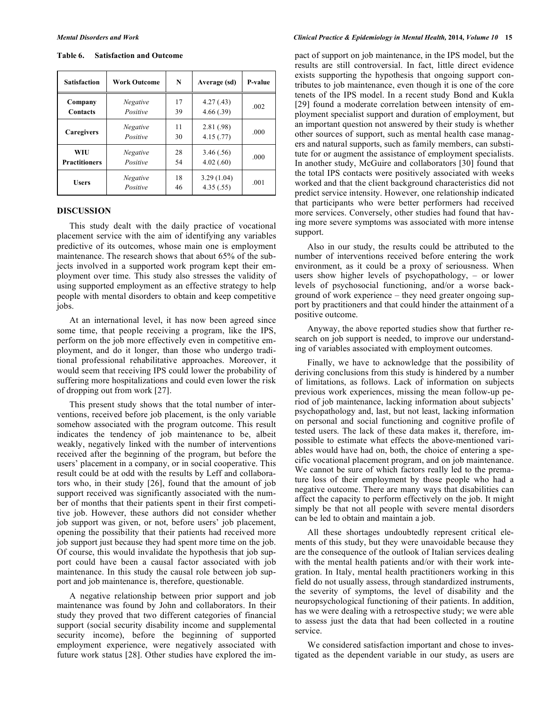| <b>Satisfaction</b>         | <b>Work Outcome</b>         | N        | Average (sd)            | <b>P-value</b> |
|-----------------------------|-----------------------------|----------|-------------------------|----------------|
| Company<br><b>Contacts</b>  | <b>Negative</b><br>Positive | 17<br>39 | 4.27(.43)<br>4.66(.39)  | .002           |
| Caregivers                  | Negative<br>Positive        | 11<br>30 | 2.81(.98)<br>4.15(.77)  | .000           |
| WIU<br><b>Practitioners</b> | <b>Negative</b><br>Positive | 28<br>54 | 3.46(.56)<br>4.02(.60)  | .000           |
| <b>Users</b>                | Negative<br>Positive        | 18<br>46 | 3.29(1.04)<br>4.35(.55) | .001           |

**Table 6. Satisfaction and Outcome** 

#### **DISCUSSION**

This study dealt with the daily practice of vocational placement service with the aim of identifying any variables predictive of its outcomes, whose main one is employment maintenance. The research shows that about 65% of the subjects involved in a supported work program kept their employment over time. This study also stresses the validity of using supported employment as an effective strategy to help people with mental disorders to obtain and keep competitive jobs.

At an international level, it has now been agreed since some time, that people receiving a program, like the IPS, perform on the job more effectively even in competitive employment, and do it longer, than those who undergo traditional professional rehabilitative approaches. Moreover, it would seem that receiving IPS could lower the probability of suffering more hospitalizations and could even lower the risk of dropping out from work [27].

This present study shows that the total number of interventions, received before job placement, is the only variable somehow associated with the program outcome. This result indicates the tendency of job maintenance to be, albeit weakly, negatively linked with the number of interventions received after the beginning of the program, but before the users' placement in a company, or in social cooperative. This result could be at odd with the results by Leff and collaborators who, in their study [26], found that the amount of job support received was significantly associated with the number of months that their patients spent in their first competitive job. However, these authors did not consider whether job support was given, or not, before users' job placement, opening the possibility that their patients had received more job support just because they had spent more time on the job. Of course, this would invalidate the hypothesis that job support could have been a causal factor associated with job maintenance. In this study the causal role between job support and job maintenance is, therefore, questionable.

A negative relationship between prior support and job maintenance was found by John and collaborators. In their study they proved that two different categories of financial support (social security disability income and supplemental security income), before the beginning of supported employment experience, were negatively associated with future work status [28]. Other studies have explored the impact of support on job maintenance, in the IPS model, but the results are still controversial. In fact, little direct evidence exists supporting the hypothesis that ongoing support contributes to job maintenance, even though it is one of the core tenets of the IPS model. In a recent study Bond and Kukla [29] found a moderate correlation between intensity of employment specialist support and duration of employment, but an important question not answered by their study is whether other sources of support, such as mental health case managers and natural supports, such as family members, can substitute for or augment the assistance of employment specialists. In another study, McGuire and collaborators [30] found that the total IPS contacts were positively associated with weeks worked and that the client background characteristics did not predict service intensity. However, one relationship indicated that participants who were better performers had received more services. Conversely, other studies had found that having more severe symptoms was associated with more intense support.

Also in our study, the results could be attributed to the number of interventions received before entering the work environment, as it could be a proxy of seriousness. When users show higher levels of psychopathology, – or lower levels of psychosocial functioning, and/or a worse background of work experience – they need greater ongoing support by practitioners and that could hinder the attainment of a positive outcome.

Anyway, the above reported studies show that further research on job support is needed, to improve our understanding of variables associated with employment outcomes.

Finally, we have to acknowledge that the possibility of deriving conclusions from this study is hindered by a number of limitations, as follows. Lack of information on subjects previous work experiences, missing the mean follow-up period of job maintenance, lacking information about subjects' psychopathology and, last, but not least, lacking information on personal and social functioning and cognitive profile of tested users. The lack of these data makes it, therefore, impossible to estimate what effects the above-mentioned variables would have had on, both, the choice of entering a specific vocational placement program, and on job maintenance. We cannot be sure of which factors really led to the premature loss of their employment by those people who had a negative outcome. There are many ways that disabilities can affect the capacity to perform effectively on the job. It might simply be that not all people with severe mental disorders can be led to obtain and maintain a job.

All these shortages undoubtedly represent critical elements of this study, but they were unavoidable because they are the consequence of the outlook of Italian services dealing with the mental health patients and/or with their work integration. In Italy, mental health practitioners working in this field do not usually assess, through standardized instruments, the severity of symptoms, the level of disability and the neuropsychological functioning of their patients. In addition, has we were dealing with a retrospective study; we were able to assess just the data that had been collected in a routine service.

We considered satisfaction important and chose to investigated as the dependent variable in our study, as users are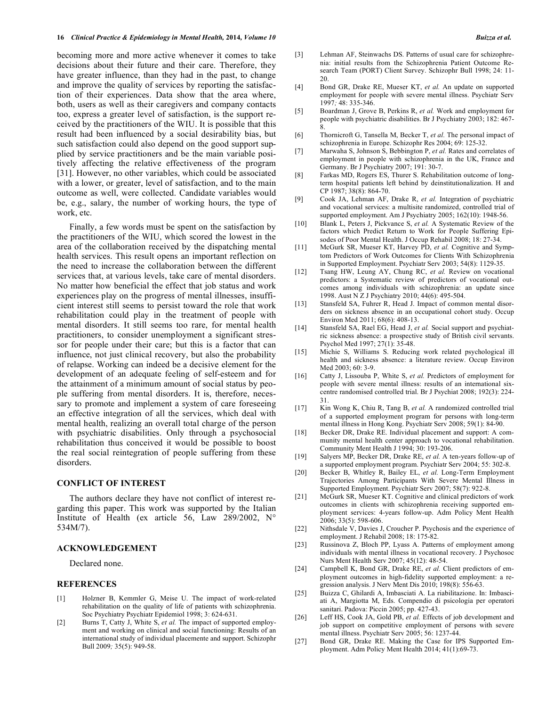becoming more and more active whenever it comes to take decisions about their future and their care. Therefore, they have greater influence, than they had in the past, to change and improve the quality of services by reporting the satisfaction of their experiences. Data show that the area where, both, users as well as their caregivers and company contacts too, express a greater level of satisfaction, is the support received by the practitioners of the WIU. It is possible that this result had been influenced by a social desirability bias, but such satisfaction could also depend on the good support supplied by service practitioners and be the main variable positively affecting the relative effectiveness of the program [31]. However, no other variables, which could be associated with a lower, or greater, level of satisfaction, and to the main outcome as well, were collected. Candidate variables would be, e.g., salary, the number of working hours, the type of work, etc.

Finally, a few words must be spent on the satisfaction by the practitioners of the WIU, which scored the lowest in the area of the collaboration received by the dispatching mental health services. This result opens an important reflection on the need to increase the collaboration between the different services that, at various levels, take care of mental disorders. No matter how beneficial the effect that job status and work experiences play on the progress of mental illnesses, insufficient interest still seems to persist toward the role that work rehabilitation could play in the treatment of people with mental disorders. It still seems too rare, for mental health practitioners, to consider unemployment a significant stressor for people under their care; but this is a factor that can influence, not just clinical recovery, but also the probability of relapse. Working can indeed be a decisive element for the development of an adequate feeling of self-esteem and for the attainment of a minimum amount of social status by people suffering from mental disorders. It is, therefore, necessary to promote and implement a system of care foreseeing an effective integration of all the services, which deal with mental health, realizing an overall total charge of the person with psychiatric disabilities. Only through a psychosocial rehabilitation thus conceived it would be possible to boost the real social reintegration of people suffering from these disorders.

#### **CONFLICT OF INTEREST**

The authors declare they have not conflict of interest regarding this paper. This work was supported by the Italian Institute of Health (ex article 56, Law 289/2002,  $N^{\circ}$ 534M/7).

#### **ACKNOWLEDGEMENT**

Declared none.

#### **REFERENCES**

- [1] Holzner B, Kemmler G, Meise U. The impact of work-related rehabilitation on the quality of life of patients with schizophrenia. Soc Psychiatry Psychiatr Epidemiol 1998; 3: 624-631.
- [2] Burns T, Catty J, White S, *et al.* The impact of supported employment and working on clinical and social functioning: Results of an international study of individual placemente and support. Schizophr Bull 2009*;* 35(5): 949-58.
- [3] Lehman AF, Steinwachs DS. Patterns of usual care for schizophrenia: initial results from the Schizophrenia Patient Outcome Research Team (PORT) Client Survey. Schizophr Bull 1998; 24: 11- 20.
- [4] Bond GR, Drake RE, Mueser KT, *et al.* An update on supported employment for people with severe mental illness. Psychiatr Serv 1997*;* 48: 335-346.
- [5] Boardman J, Grove B, Perkins R, *et al.* Work and employment for people with psychiatric disabilities. Br J Psychiatry 2003; 182: 467- 8.
- [6] Thornicroft G, Tansella M, Becker T, *et al.* The personal impact of schizophrenia in Europe. Schizophr Res 2004; 69: 125-32.
- [7] Marwaha S, Johnson S, Bebbington P, *et al.* Rates and correlates of employment in people with schizophrenia in the UK, France and Germany. Br J Psychiatry 2007; 191: 30-7.
- [8] Farkas MD, Rogers ES, Thurer S. Rehabilitation outcome of longterm hospital patients left behind by deinstitutionalization. H and CP 1987; 38(8): 864-70.
- [9] Cook JA, Lehman AF, Drake R, *et al.* Integration of psychiatric and vocational services: a multisite randomized, controlled trial of supported employment. Am J Psychiatry 2005; 162(10): 1948-56.
- [10] Blank L, Peters J, Pickvance S, et al. A Systematic Review of the factors which Predict Return to Work for People Suffering Episodes of Poor Mental Health. J Occup Rehabil 2008; 18: 27-34.
- [11] McGurk SR, Mueser KT, Harvey PD, *et al.* Cognitive and Symptom Predictors of Work Outcomes for Clients With Schizophrenia in Supported Employment. Psychiatr Serv 2003; 54(8): 1129-35.
- [12] Tsang HW, Leung AY, Chung RC, *et al.* Review on vocational predictors: a Systematic review of predictors of vocational outcomes among individuals with schizophrenia: an update since 1998. Aust N Z J Psychiatry 2010; 44(6): 495-504.
- [13] Stansfeld SA, Fuhrer R, Head J. Impact of common mental disorders on sickness absence in an occupational cohort study. Occup Environ Med 2011; 68(6): 408-13.
- [14] Stansfeld SA, Rael EG, Head J, *et al.* Social support and psychiatric sickness absence: a prospective study of British civil servants. Psychol Med 1997; 27(1): 35-48.
- [15] Michie S, Williams S. Reducing work related psychological ill health and sickness absence: a literature review. Occup Environ Med 2003; 60: 3-9.
- [16] Catty J, Lissouba P, White S, *et al.* Predictors of employment for people with severe mental illness: results of an international sixcentre randomised controlled trial. Br J Psychiat 2008; 192(3): 224- 31.
- [17] Kin Wong K, Chiu R, Tang B, *et al.* A randomized controlled trial of a supported employment program for persons with long-term mental illness in Hong Kong. Psychiatr Serv 2008; 59(1): 84-90.
- [18] Becker DR, Drake RE. Individual placement and support: A community mental health center approach to vocational rehabilitation. Community Ment Health J 1994; 30: 193-206.
- [19] Salyers MP, Becker DR, Drake RE, *et al.* A ten-years follow-up of a supported employment program. Psychiatr Serv 2004; 55: 302-8.
- [20] Becker B, Whitley R, Bailey EL, *et al.* Long-Term Employment Trajectories Among Participants With Severe Mental Illness in Supported Employment. Psychiatr Serv 2007; 58(7): 922-8.
- [21] McGurk SR, Mueser KT. Cognitive and clinical predictors of work outcomes in clients with schizophrenia receiving supported employment services: 4-years follow-up. Adm Policy Ment Health 2006; 33(5): 598-606.
- [22] Nithsdale V, Davies J, Croucher P. Psychosis and the experience of employment. J Rehabil 2008; 18: 175-82.
- [23] Russinova Z, Bloch PP, Lyass A. Patterns of employment among individuals with mental illness in vocational recovery. J Psychosoc Nurs Ment Health Serv 2007; 45(12): 48-54.
- [24] Campbell K, Bond GR, Drake RE, et al. Client predictors of employment outcomes in high-fidelity supported employment: a regression analysis. J Nerv Ment Dis 2010; 198(8): 556-63.
- [25] Buizza C, Ghilardi A, Imbasciati A. La riabilitazione. In: Imbasciati A, Margiotta M, Eds. Compendio di psicologia per operatori sanitari. Padova: Piccin 2005; pp. 427-43.
- [26] Leff HS, Cook JA, Gold PB, *et al.* Effects of job development and job support on competitive employment of persons with severe mental illness. Psychiatr Serv 2005; 56: 1237-44.
- [27] Bond GR, Drake RE. Making the Case for IPS Supported Employment. Adm Policy Ment Health 2014; 41(1):69-73.